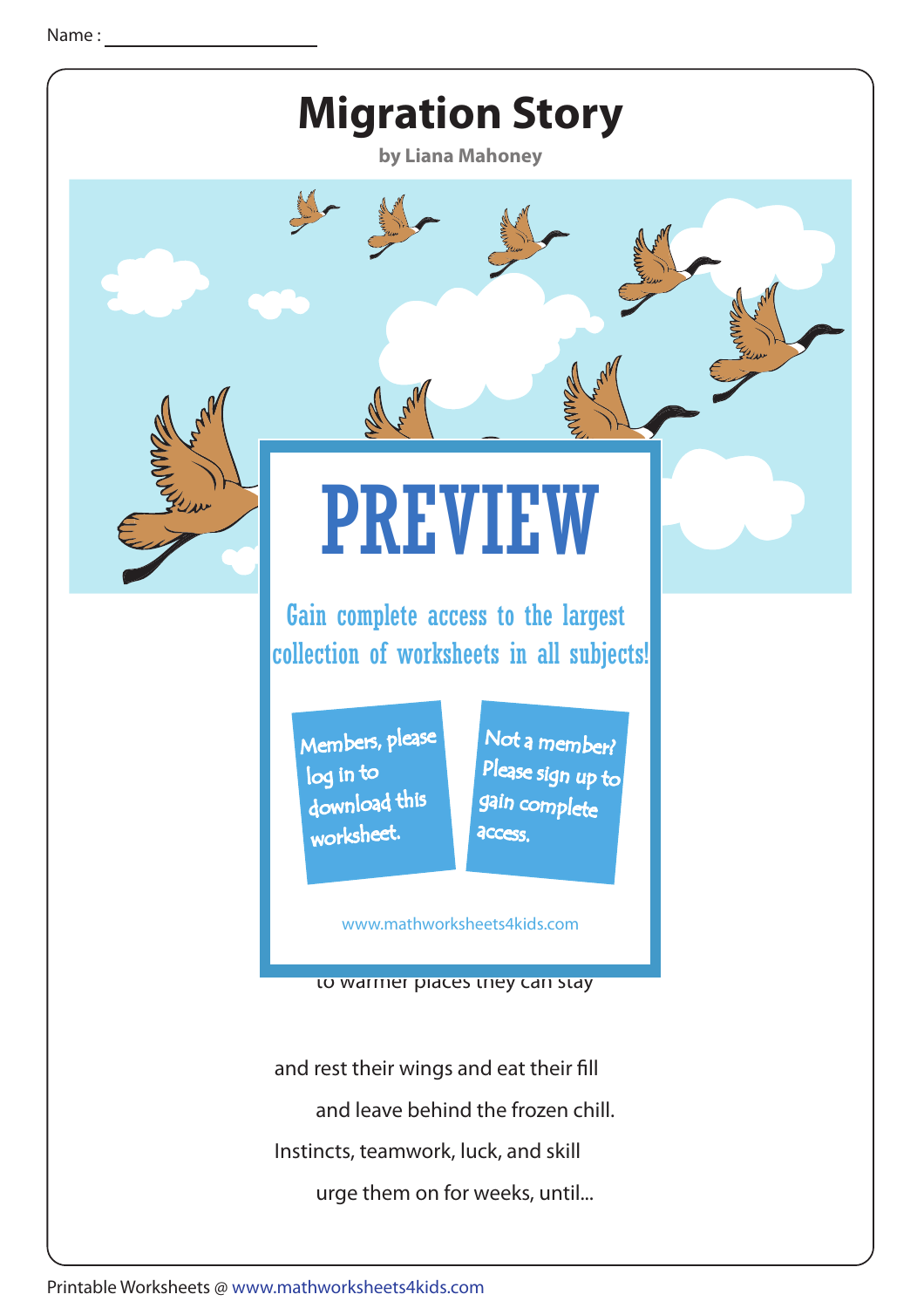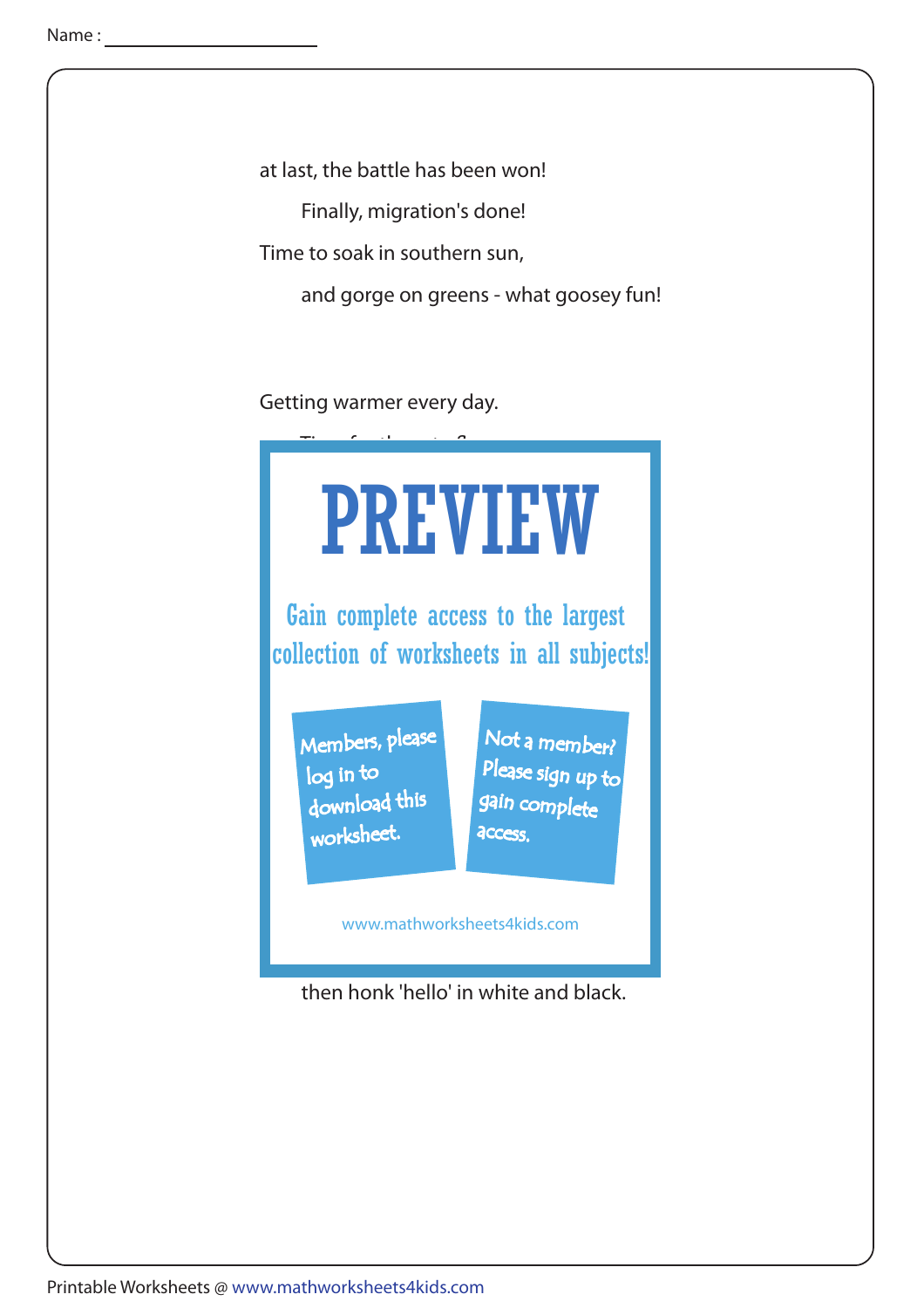at last, the battle has been won!

Finally, migration's done!

Time to soak in southern sun,

and gorge on greens - what goosey fun!

Getting warmer every day.



then honk 'hello' in white and black.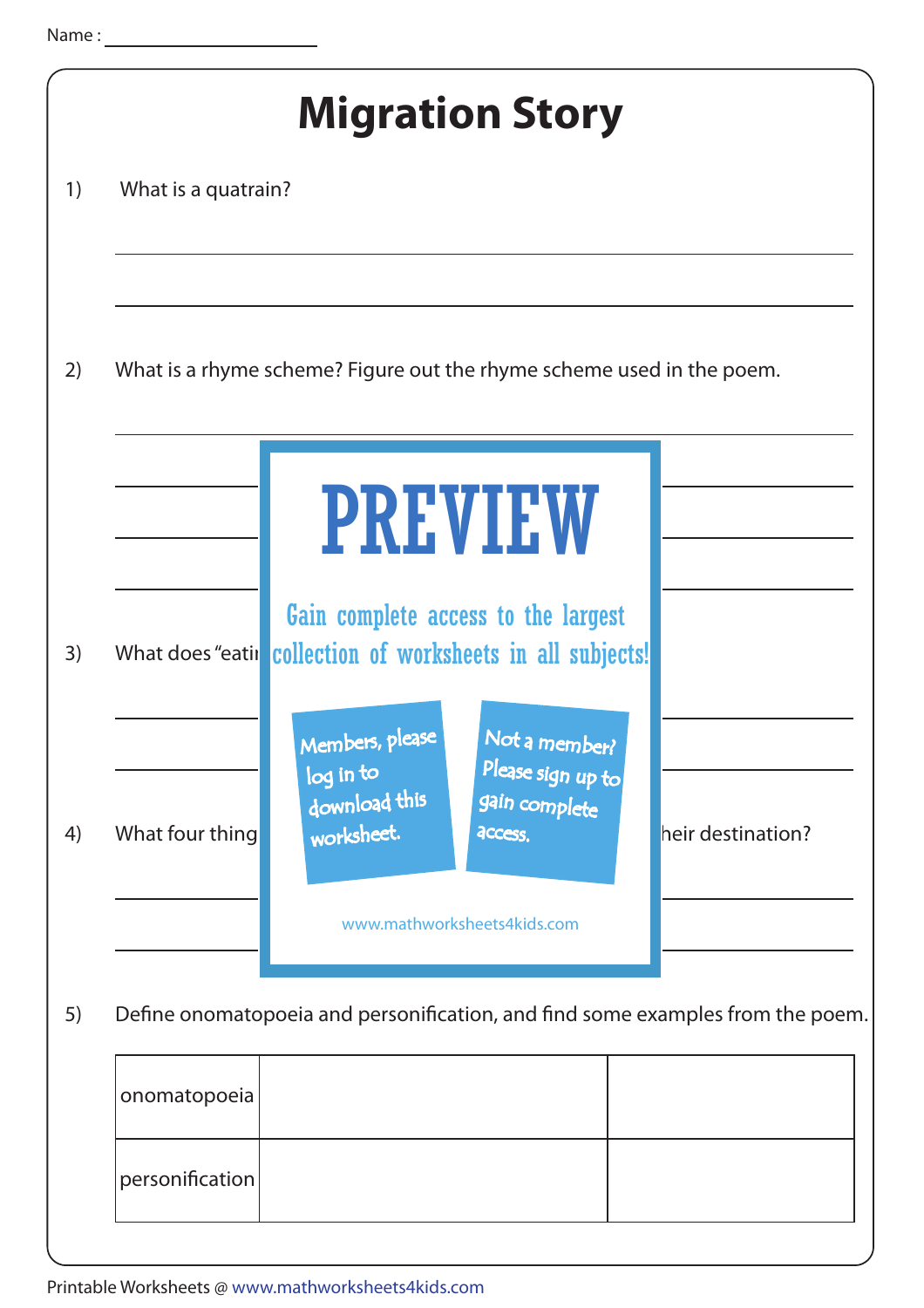|    | <b>Migration Story</b>                                                         |                                                                                                                               |                   |  |
|----|--------------------------------------------------------------------------------|-------------------------------------------------------------------------------------------------------------------------------|-------------------|--|
| 1) | What is a quatrain?                                                            |                                                                                                                               |                   |  |
|    |                                                                                |                                                                                                                               |                   |  |
| 2) | What is a rhyme scheme? Figure out the rhyme scheme used in the poem.          |                                                                                                                               |                   |  |
|    |                                                                                | <b>PREVIEW</b>                                                                                                                |                   |  |
| 3) |                                                                                | Gain complete access to the largest<br>What does "eatir collection of worksheets in all subjects!                             |                   |  |
| 4) | What four thing                                                                | Not a member?<br>Members, please<br>Please sign up to<br>log in to<br>download this<br>gain complete<br>worksheet.<br>access. | heir destination? |  |
|    |                                                                                | www.mathworksheets4kids.com                                                                                                   |                   |  |
| 5) | Define onomatopoeia and personification, and find some examples from the poem. |                                                                                                                               |                   |  |
|    | onomatopoeia                                                                   |                                                                                                                               |                   |  |
|    | personification                                                                |                                                                                                                               |                   |  |
|    |                                                                                |                                                                                                                               |                   |  |